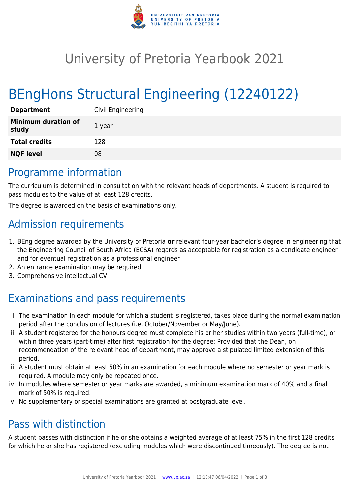

# University of Pretoria Yearbook 2021

# BEngHons Structural Engineering (12240122)

| <b>Department</b>                   | Civil Engineering |
|-------------------------------------|-------------------|
| <b>Minimum duration of</b><br>study | 1 year            |
| <b>Total credits</b>                | 128               |
| <b>NQF level</b>                    | 08                |

#### Programme information

The curriculum is determined in consultation with the relevant heads of departments. A student is required to pass modules to the value of at least 128 credits.

The degree is awarded on the basis of examinations only.

## Admission requirements

- 1. BEng degree awarded by the University of Pretoria **or** relevant four-year bachelor's degree in engineering that the Engineering Council of South Africa (ECSA) regards as acceptable for registration as a candidate engineer and for eventual registration as a professional engineer
- 2. An entrance examination may be required
- 3. Comprehensive intellectual CV

## Examinations and pass requirements

- i. The examination in each module for which a student is registered, takes place during the normal examination period after the conclusion of lectures (i.e. October/November or May/June).
- ii. A student registered for the honours degree must complete his or her studies within two years (full-time), or within three years (part-time) after first registration for the degree: Provided that the Dean, on recommendation of the relevant head of department, may approve a stipulated limited extension of this period.
- iii. A student must obtain at least 50% in an examination for each module where no semester or year mark is required. A module may only be repeated once.
- iv. In modules where semester or year marks are awarded, a minimum examination mark of 40% and a final mark of 50% is required.
- v. No supplementary or special examinations are granted at postgraduate level.

### Pass with distinction

A student passes with distinction if he or she obtains a weighted average of at least 75% in the first 128 credits for which he or she has registered (excluding modules which were discontinued timeously). The degree is not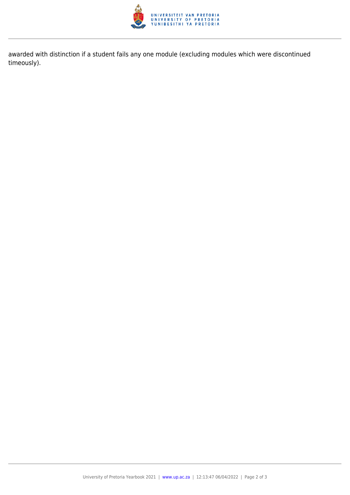

awarded with distinction if a student fails any one module (excluding modules which were discontinued timeously).